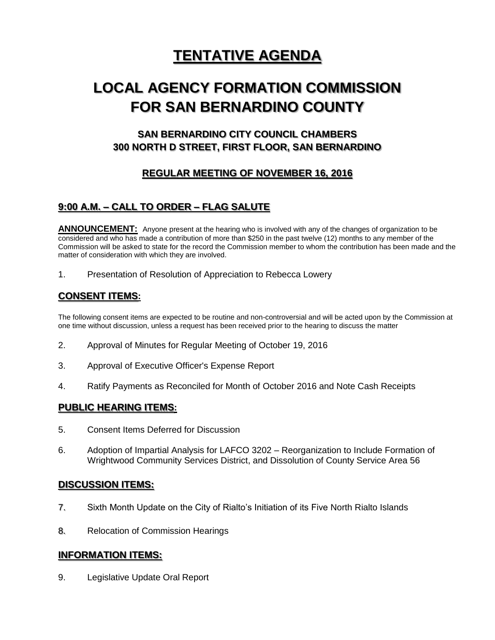# **TENTATIVE AGENDA**

# **LOCAL AGENCY FORMATION COMMISSION FOR SAN BERNARDINO COUNTY**

# **SAN BERNARDINO CITY COUNCIL CHAMBERS 300 NORTH D STREET, FIRST FLOOR, SAN BERNARDINO**

# **REGULAR MEETING OF NOVEMBER 16, 2016**

## **9:00 A.M. – CALL TO ORDER – FLAG SALUTE**

**ANNOUNCEMENT:** Anyone present at the hearing who is involved with any of the changes of organization to be considered and who has made a contribution of more than \$250 in the past twelve (12) months to any member of the Commission will be asked to state for the record the Commission member to whom the contribution has been made and the matter of consideration with which they are involved.

1. Presentation of Resolution of Appreciation to Rebecca Lowery

## **CONSENT ITEMS:**

The following consent items are expected to be routine and non-controversial and will be acted upon by the Commission at one time without discussion, unless a request has been received prior to the hearing to discuss the matter

- 2. Approval of Minutes for Regular Meeting of October 19, 2016
- 3. Approval of Executive Officer's Expense Report
- 4. Ratify Payments as Reconciled for Month of October 2016 and Note Cash Receipts

## **PUBLIC HEARING ITEMS:**

- 5. Consent Items Deferred for Discussion
- 6. Adoption of Impartial Analysis for LAFCO 3202 Reorganization to Include Formation of Wrightwood Community Services District, and Dissolution of County Service Area 56

## **DISCUSSION ITEMS:**

- 7. Sixth Month Update on the City of Rialto's Initiation of its Five North Rialto Islands
- 8. Relocation of Commission Hearings

## **INFORMATION ITEMS:**

9. Legislative Update Oral Report